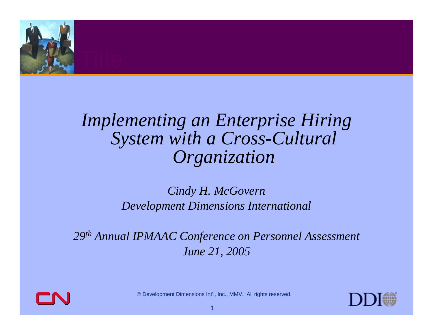

#### *Implementing an Enterprise Hiring System with a Cross-Cultural Organization*

#### *Cindy H. McGovern Development Dimensions International*

*29th Annual IPMAAC Conference on Personnel Assessment June 21, 2005*



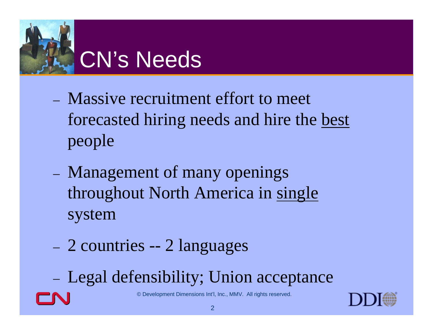

- Massive recruitment effort to meet forecasted hiring needs and hire the best people
- Management of many openings throughout North America in single system
- 2 countries -- 2 languages
- Legal defensibility; Union acceptance

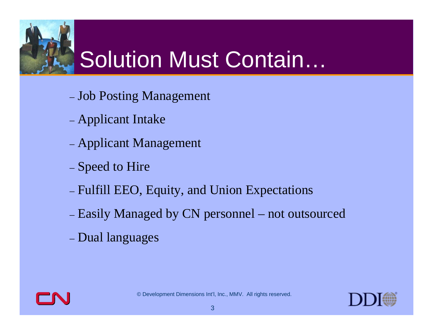### Solution Must Contain…

- Job Posting Management
- Applicant Intake
- Applicant Management
- Speed to Hire
- Fulfill EEO, Equity, and Union Expectations
- Easily Managed by CN personnel not outsourced
- Dual languages



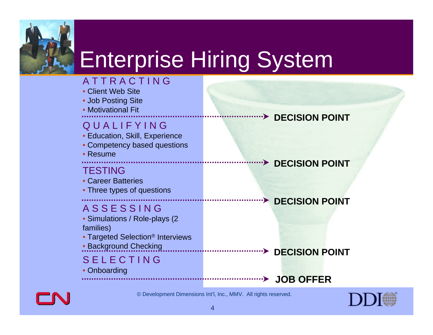

### Enterprise Hiring System

#### A T T R A C T I N G

- Client Web Site
- Job Posting Site
- Motivational Fit

#### Q U A L I F Y I N G

- Education, Skill, Experience
- Competency based questions
- Resume

#### **TESTING**

- Career Batteries
- Three types of questions

#### A S S E S S I N G

- Simulations / Role-plays (2 families)
- Targeted Selection ® Interviews
- Background Checking

#### S E L E C T I N G

• Onboarding

**DECISION POINT**

#### **BECISION POINT**

#### **DECISION POINT**

#### **BECISION POINT**

#### **JOB OFFER**



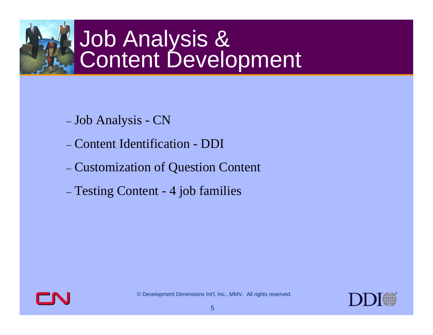## Job Analysis &<br>Content Development

- Job Analysis CN
- Content Identification DDI
- Customization of Question Content
- Testing Content 4 job families



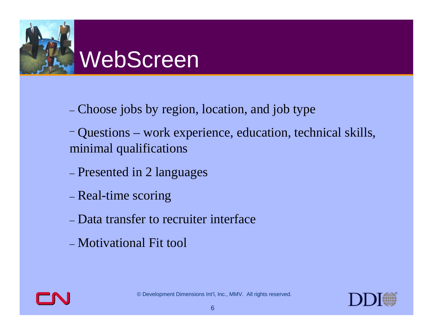

- Choose jobs by region, location, and job type
- Questions work experience, education, technical skills, minimal qualifications
- Presented in 2 languages
- Real-time scoring
- Data transfer to recruiter interface
- Motivational Fit tool



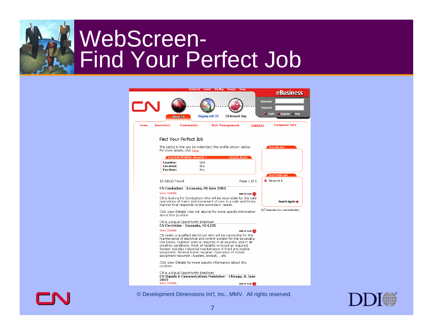### WebScreen-Find Your Perfect Job

|                                    | <b>Contact Us Search</b>                                                                                                                                                                                                                                                                                                                                                                                                              | Site Map<br><b>Francais</b> | Home                  |                                                                           |
|------------------------------------|---------------------------------------------------------------------------------------------------------------------------------------------------------------------------------------------------------------------------------------------------------------------------------------------------------------------------------------------------------------------------------------------------------------------------------------|-----------------------------|-----------------------|---------------------------------------------------------------------------|
|                                    |                                                                                                                                                                                                                                                                                                                                                                                                                                       |                             |                       | eBusiness                                                                 |
|                                    | <b>About CN</b>                                                                                                                                                                                                                                                                                                                                                                                                                       | Shipping with CN            | <b>CN Network Map</b> | <b>Username:</b><br>Password:<br><b>U</b> Login<br><b>Register * Help</b> |
| <b>News</b><br><b>Investors</b>    | <b>Community</b>                                                                                                                                                                                                                                                                                                                                                                                                                      | <b>Risk Management</b>      | <b>Careers</b>        | <b>Company Info</b>                                                       |
|                                    | Find Your Perfect Job                                                                                                                                                                                                                                                                                                                                                                                                                 |                             |                       |                                                                           |
|                                    | The job(s) in the job list match(es) the profile shown below.<br>For more details, click here.                                                                                                                                                                                                                                                                                                                                        |                             |                       | Your Job Cart                                                             |
|                                    | <b>Current Profile: Search 1</b>                                                                                                                                                                                                                                                                                                                                                                                                      |                             | Search Again          |                                                                           |
| Country:<br>Location:<br>Position: | <b>USA</b><br>Anv<br>Any                                                                                                                                                                                                                                                                                                                                                                                                              |                             |                       |                                                                           |
|                                    |                                                                                                                                                                                                                                                                                                                                                                                                                                       |                             |                       | Your Profile Cart                                                         |
| 10 Job(s) Found                    |                                                                                                                                                                                                                                                                                                                                                                                                                                       |                             | Page 1 of 1           | <b>8</b> Search 1                                                         |
|                                    | CN Conductors - Escanaba, MI June 2005                                                                                                                                                                                                                                                                                                                                                                                                |                             |                       |                                                                           |
| <b>View Details</b>                |                                                                                                                                                                                                                                                                                                                                                                                                                                       |                             | Add to Cart           |                                                                           |
|                                    | CN is looking for Conductors who will be resonsible for the safe<br>operations of trains and movement of cars in a safe and timely<br>manner that responds to the customers' needs.                                                                                                                                                                                                                                                   |                             |                       | Search Again                                                              |
|                                    | Click View Details (see link above) for more specific information<br>about this position.                                                                                                                                                                                                                                                                                                                                             |                             |                       | #=7 Subscribe to e-mail notification                                      |
|                                    | CN is a Equal Opportunity Employer<br>CN Electrician - Escanaba, MI 6/05                                                                                                                                                                                                                                                                                                                                                              |                             |                       |                                                                           |
| <b>View Details</b>                |                                                                                                                                                                                                                                                                                                                                                                                                                                       |                             | Add to Cart           |                                                                           |
|                                    | CN seeks a qualified electrician who will be rsponsible for the<br>maintenance of electrical and control system for the Escanaba<br>Ore Docks. Outdoor work is required in all seasons and in all<br>weather conditions. Work at heights involved as required.<br>System includes industrial maintenance of fixed and mobile<br>equipment, Minimal travel required, Operation of mobile<br>equipment required - loaders, bobcat, etc. |                             |                       |                                                                           |
| position.                          | Click View Details for more specific information about this                                                                                                                                                                                                                                                                                                                                                                           |                             |                       |                                                                           |
| 2005                               | CN is a Equal Opportunity Employer<br>CN Signals & Communications Maintainer - Chicago, IL June                                                                                                                                                                                                                                                                                                                                       |                             |                       |                                                                           |
| <b>View Details</b>                |                                                                                                                                                                                                                                                                                                                                                                                                                                       |                             | Add to Cart           |                                                                           |



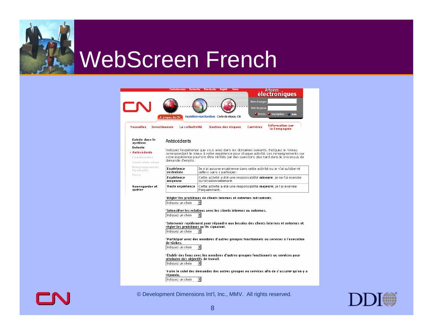





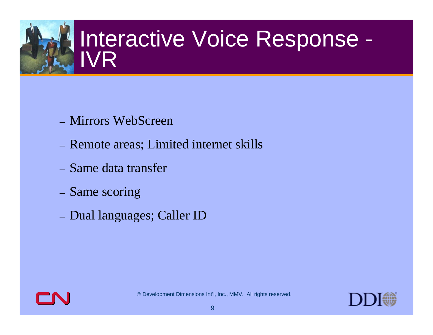# Interactive Voice Response -<br>IVR

- Mirrors WebScreen
- Remote areas; Limited internet skills
- Same data transfer
- Same scoring
- Dual languages; Caller ID



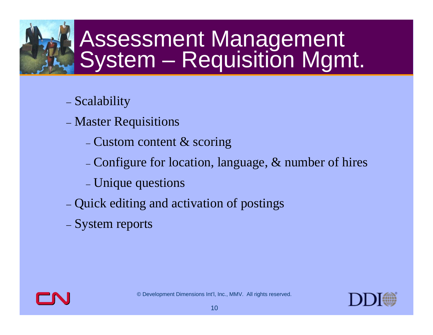## Assessment Management<br>System – Requisition Mgmt.

- Scalability
- Master Requisitions
	- Custom content  $\&$  scoring
	- Configure for location, language,  $\&$  number of hires
	- Unique questions
- Quick editing and activation of postings
- System reports



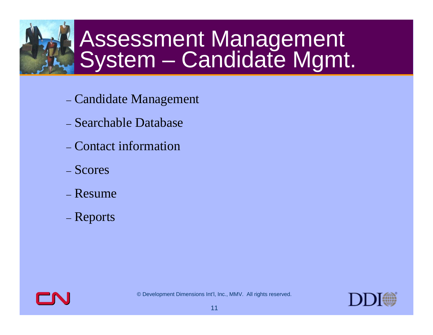## Assessment Management<br>System – Candidate Mgmt.

- Candidate Management
- Searchable Database
- Contact information
- Scores
- Resume
- Reports



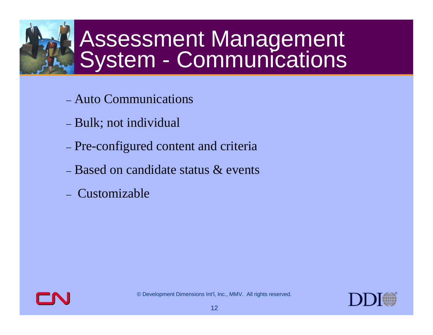## Assessment Management<br>System - Communications

- Auto Communications
- Bulk; not individual
- Pre-configured content and criteria
- Based on candidate status & events
- Customizable



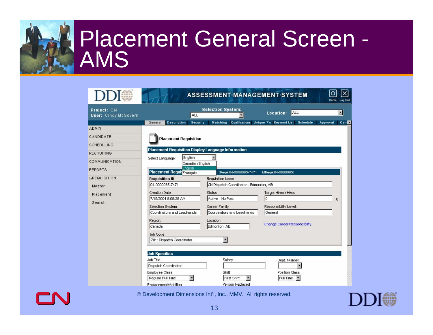### Placement General Screen - AMS

| Project: CN<br><b>User:</b> Cindy McGovern | <b>ALL</b>                                         | <b>Selection System:</b>               | ALL<br>Location:                                | $\overline{\phantom{a}}$ |
|--------------------------------------------|----------------------------------------------------|----------------------------------------|-------------------------------------------------|--------------------------|
| ADMIN                                      | <b>Description</b><br><b>Security</b><br>General   | Matching                               | Qualifications Unique ?'s Keyword List Schedule | Can:<br>Approval         |
|                                            |                                                    |                                        |                                                 |                          |
| CANDIDATE                                  | <b>Placement Requisition</b>                       |                                        |                                                 |                          |
| SCHEDULING                                 |                                                    |                                        |                                                 |                          |
| RECRUITING                                 | Placement Requisition Display Language Information |                                        |                                                 |                          |
| COMMUNICATION                              | English<br>Select Language:                        |                                        |                                                 |                          |
|                                            | Canadian English<br>English                        |                                        |                                                 |                          |
| REPORTS                                    | Placement RequisFrançais                           | [Reg#:04-0000065-7471                  | MReq#:04-0000065)                               |                          |
| <b>SREQUISITION</b>                        | <b>Requisition ID</b>                              | <b>Requisition Name</b>                |                                                 |                          |
| Master                                     | 04-0000065-7471                                    | CN Dispatch Coordinator - Edmonton, AB |                                                 |                          |
| Placement                                  | <b>Creation Date</b>                               | Status                                 | Target Hires / Hires                            |                          |
|                                            | 7/19/2004 8:09:28 AM                               | Active - No Post                       |                                                 | $\mathbf 0$              |
| Search                                     | Selection System:                                  | Career Family:                         | Responsibility Level:                           |                          |
|                                            | Coordinators and Leadhands                         | Coordinators and Leadhands             | General                                         |                          |
|                                            | Region:                                            | Location                               |                                                 |                          |
|                                            | Canada                                             | Edmonton, AB                           | Change Career/Responsibility                    |                          |
|                                            | Job Code                                           |                                        |                                                 |                          |
|                                            | 701: Dispatch Coordinator                          |                                        |                                                 |                          |
|                                            |                                                    |                                        |                                                 |                          |
|                                            | <b>Job Specifics</b>                               |                                        |                                                 |                          |
|                                            | Job Title                                          | Salary                                 | Dept. Number                                    |                          |
|                                            | Dispatch Coordinator                               |                                        |                                                 |                          |
|                                            | Employee Class                                     | Shift                                  | Position Class                                  |                          |
|                                            | Regular Full Time                                  | First Shift                            | Full Time                                       |                          |
|                                            | Renlacement/Addition                               | Person Replaced                        |                                                 |                          |

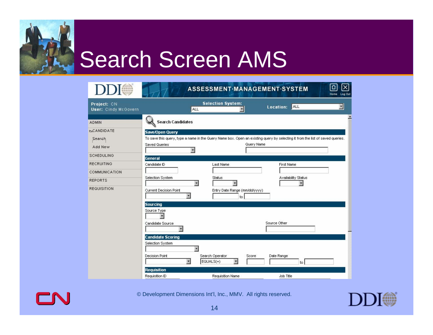

|                                            |                                                                                                                               | ASSESSMENT MANAGEMENT SYSTEM                               |                     |                     | Log Out<br>Home |
|--------------------------------------------|-------------------------------------------------------------------------------------------------------------------------------|------------------------------------------------------------|---------------------|---------------------|-----------------|
| Project: CN<br><b>User:</b> Cindy McGovern | ALL                                                                                                                           | <b>Selection System:</b>                                   | Location:           | ALL                 | ×               |
| <b>ADMIN</b>                               | <b>Search Candidates</b>                                                                                                      |                                                            |                     |                     |                 |
| <b>SCANDIDATE</b>                          | <b>Save/Open Query</b>                                                                                                        |                                                            |                     |                     |                 |
| Search                                     | To save this query, type a name in the Query Name box. Open an existing query by selecting it from the list of saved queries. |                                                            |                     |                     |                 |
| Add New                                    | <b>Saved Queries</b>                                                                                                          |                                                            | Query Name          |                     |                 |
| SCHEDULING                                 | General                                                                                                                       |                                                            |                     |                     |                 |
| RECRUITING                                 | Candidate ID                                                                                                                  | Last Name                                                  | <b>First Name</b>   |                     |                 |
| COMMUNICATION                              |                                                                                                                               |                                                            |                     |                     |                 |
| <b>REPORTS</b>                             | Selection System<br>$\overline{\mathbf{r}}$                                                                                   | Status                                                     |                     | Availability Status |                 |
| REQUISITION                                | <b>Current Decision Point</b><br><b>Sourcing</b>                                                                              | Entry Date Range (mm/dd/yyyy)<br>to                        |                     |                     |                 |
|                                            | Source Type<br>Candidate Source                                                                                               |                                                            | Source Other        |                     |                 |
|                                            |                                                                                                                               |                                                            |                     |                     |                 |
|                                            | <b>Candidate Scoring</b>                                                                                                      |                                                            |                     |                     |                 |
|                                            | Selection System                                                                                                              |                                                            |                     |                     |                 |
|                                            | <b>Decision Point</b><br>키                                                                                                    | Search Operator<br>$\overline{\phantom{a}}$<br>$EQUALS(=)$ | Date Range<br>Score | to                  |                 |
|                                            | <b>Requisition</b>                                                                                                            |                                                            |                     |                     |                 |
|                                            | Requisition ID                                                                                                                | <b>Requisition Name</b>                                    | Job Title           |                     |                 |



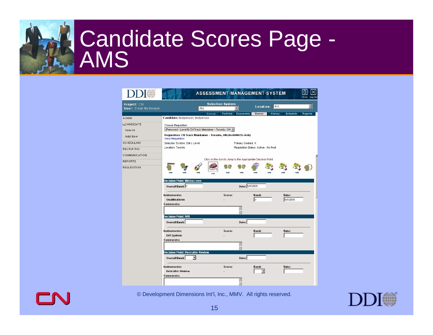## Candidate Scores Page -

|                                            |                                                                                             | ASSESSMENT-MANAGEMENT-SYSTEM                                |                                      |                         | Log Out<br>Home            |
|--------------------------------------------|---------------------------------------------------------------------------------------------|-------------------------------------------------------------|--------------------------------------|-------------------------|----------------------------|
| Project: CN<br><b>User: Cindy McGovern</b> | <b>ALL</b>                                                                                  | <b>Selection System:</b>                                    |                                      | <b>ALL</b><br>Location: | $\blacktriangledown$       |
| <b>ADMIN</b>                               | Candidate: testperson, testperson                                                           | General<br>Portfolio                                        | Documents<br><b>Scores</b>           | History                 | Schedule<br><b>Reports</b> |
| <b>LCANDIDATE</b><br>Search                | Choose Requisition:<br>(Removed - Level II) CN Track Maintainer - Toronto, ON *             |                                                             |                                      |                         |                            |
| Add New                                    | Requisition: CN Track Maintainer - Toronto, ON (04-0000035-5646)<br>View Requisition        |                                                             |                                      |                         |                            |
| SCHEDULING                                 | Selection System: Entry Level                                                               |                                                             | Primary Contact: K                   |                         |                            |
| <b>RECRUITING</b>                          | Location: Toronto                                                                           |                                                             | Requisition Status: Active - No Post |                         |                            |
| COMMUNICATION                              |                                                                                             |                                                             |                                      |                         |                            |
| <b>REPORTS</b>                             |                                                                                             | Click on the Icon to Jump to the Appropriate Decision Point |                                      |                         |                            |
| <b>REQUISITION</b>                         |                                                                                             |                                                             |                                      |                         |                            |
|                                            | <b>Decision Point: Webscreen</b><br>Overall Band: D                                         |                                                             | Date: 5/3/2005                       |                         |                            |
|                                            | Instruments:<br><b>Qualifications</b><br>Comments:                                          | Score:                                                      | <b>Band:</b><br>lD.                  |                         | Date:<br>5/3/2005          |
|                                            |                                                                                             |                                                             | 뙨<br>W                               |                         |                            |
|                                            | <b>Decision Point: IVR</b><br><b>Overall Band:</b>                                          |                                                             | Date:                                |                         |                            |
|                                            | Instruments:<br><b>IVR</b> System<br><b>Comments:</b>                                       | Score:                                                      | Band:                                |                         | Date:                      |
|                                            |                                                                                             |                                                             | ä.<br>W                              |                         |                            |
|                                            | <b>Decision Point: Recruiter Review</b><br>$\overline{\phantom{a}}$<br><b>Overall Band:</b> |                                                             | Date:                                |                         |                            |
|                                            | Instruments:<br><b>Recruiter Review</b><br><b>Comments:</b>                                 | Score:                                                      | <b>Band:</b>                         |                         | Date:                      |
|                                            |                                                                                             |                                                             |                                      |                         |                            |



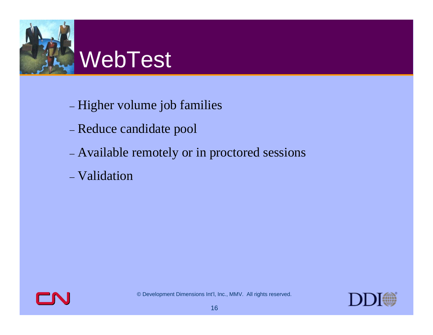

- Higher volume job families
- Reduce candidate pool
- Available remotely or in proctored sessions
- Validation



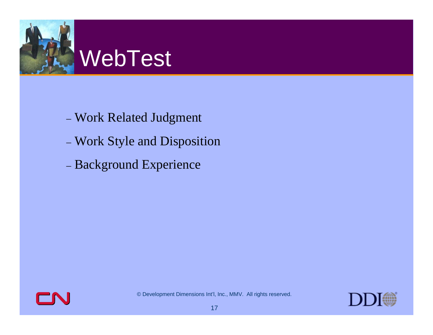

- Work Related Judgment
- Work Style and Disposition
- Background Experience



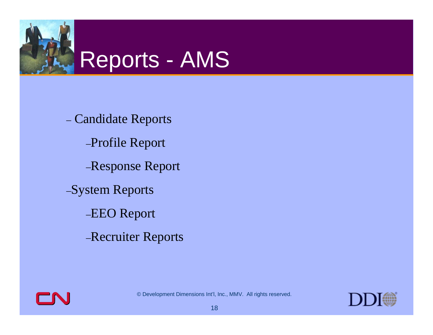

 Candidate Reports –Profile Report –Response Report –System Reports –EEO Report –Recruiter Reports



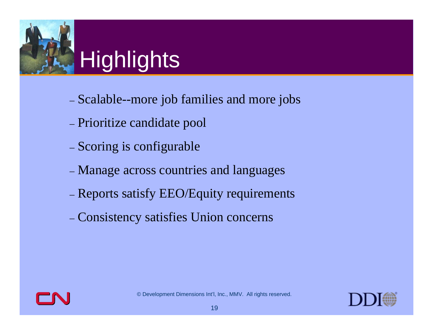

### **Highlights**

- Scalable--more job families and more jobs
- Prioritize candidate pool
- Scoring is configurable
- Manage across countries and languages
- Reports satisfy EEO/Equity requirements
- Consistency satisfies Union concerns